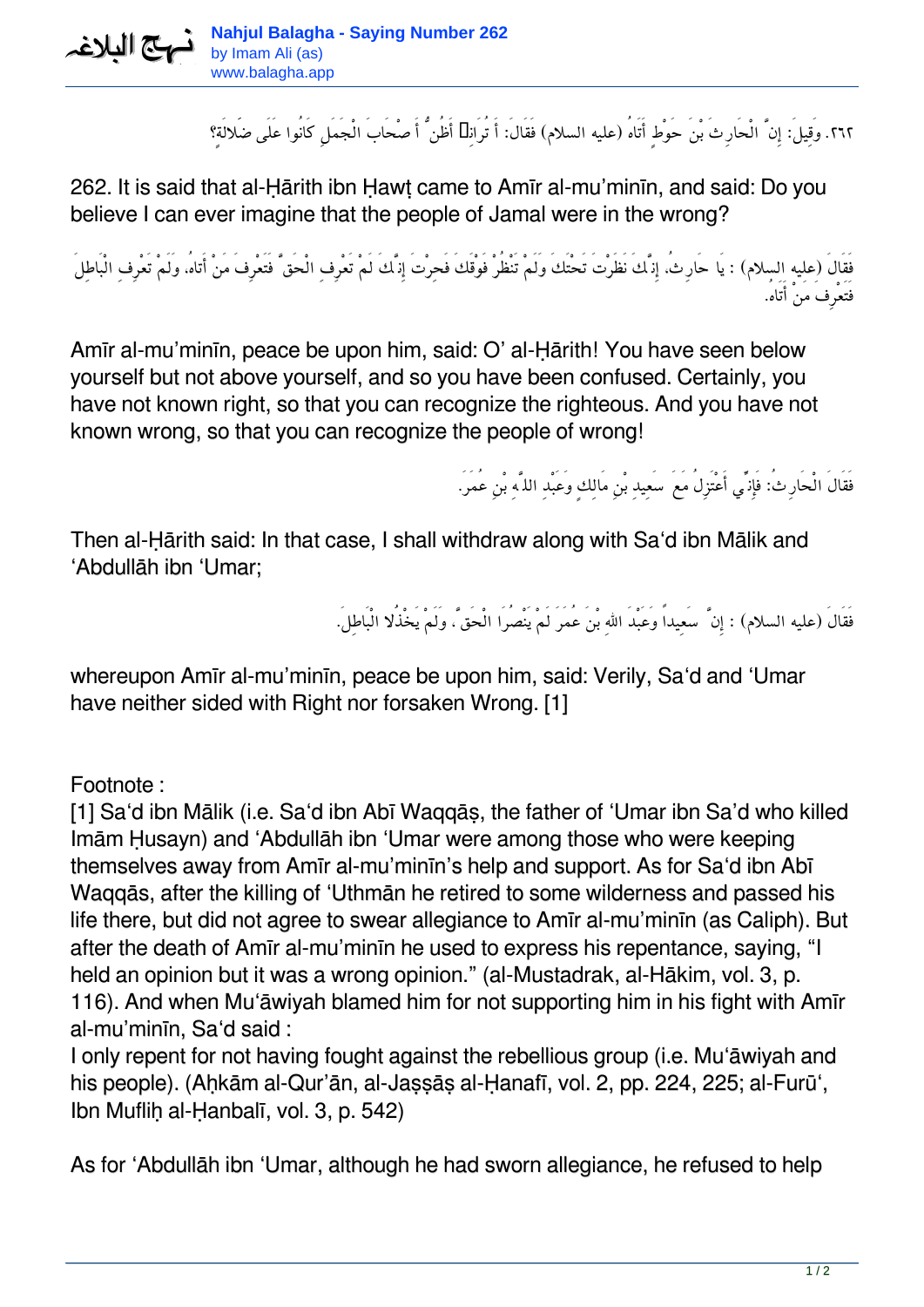**Nahjul Balagha - Saying Number 262** متع الملاغه by Imam Ali (as) www.balagha.app

*.٢٦٢ وَقِيل:َ إِنَّ الْحَارِثَ بْنَ حَوْطٍ أَتَاهُ (عليه السلام) فَقَال:َ أَ تُرَانِی أَظُنُّ أَصْحَابَ الْجَمَلِ كَانُوا عَلَى ضَلالَةٍ؟*

262. It is said that al-Ḥārith ibn Ḥawṭ came to Amīr al-mu'minīn, and said: Do you believe I can ever imagine that the people of Jamal were in the wrong?

*فَقَالَ (عليه السلام) : يَا حَارِث،ُ إِنَّكَ نَظَرْتَ تَحْتَكَ وَلَمْ تَنْظُرْ فَوْقَكَ فَحِرْتَ إِنَّكَ لَمْ تَعْرِفِ الْحَقَّ فَتَعْرِفَ مَنْ أَتاه،ُ وَلَمْ تَعْرِفِ الْبَاطِلَ فَتَعْرِفَ مَنْ أَتَاه.ُ*

Amīr al-mu'minīn, peace be upon him, said: O' al-Ḥārith! You have seen below yourself but not above yourself, and so you have been confused. Certainly, you have not known right, so that you can recognize the righteous. And you have not known wrong, so that you can recognize the people of wrong!

*فَقَالَ الْحَارِث:ُ فَإِنِّي أَعْتَزِلُ مَعَ سَعِيدِ بْنِ مَالِكٍ وَعَبْدِ اللَّهِ بْنِ عُمَر.َ*

Then al-Ḥārith said: In that case, I shall withdraw along with Sa'd ibn Mālik and 'Abdullāh ibn 'Umar;

*فَقَالَ (عليه السلام) : إِنَّ سَعِيداً وَعَبْدَ االلهِ بْنَ عُمَرَ لَمْ يَنْصُرَا الْحَقَّ، وَلَمْ يَخْذَُلا الْبَاطِل.َ*

whereupon Amīr al-mu'minīn, peace be upon him, said: Verily, Sa'd and 'Umar have neither sided with Right nor forsaken Wrong. [1]

Footnote :

[1] Sa'd ibn Mālik (i.e. Sa'd ibn Abī Waqqās, the father of 'Umar ibn Sa'd who killed Imām Ḥusayn) and 'Abdullāh ibn 'Umar were among those who were keeping themselves away from Amīr al-mu'minīn's help and support. As for Sa'd ibn Abī Waqqās, after the killing of 'Uthmān he retired to some wilderness and passed his life there, but did not agree to swear allegiance to Amīr al-mu'minīn (as Caliph). But after the death of Amīr al-mu'minīn he used to express his repentance, saying, "I held an opinion but it was a wrong opinion." (al-Mustadrak, al-Hākim, vol. 3, p. 116). And when Mu'āwiyah blamed him for not supporting him in his fight with Amīr al-mu'minīn, Sa'd said :

I only repent for not having fought against the rebellious group (i.e. Mu'āwiyah and his people). (Ahkām al-Qur'ān, al-Jassās al-Hanafī, vol. 2, pp. 224, 225; al-Furū', Ibn Mufliḥ al-Ḥanbalī, vol. 3, p. 542)

As for 'Abdullāh ibn 'Umar, although he had sworn allegiance, he refused to help